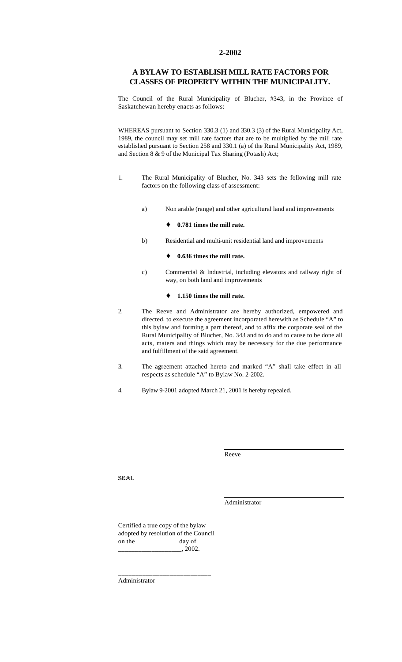### **2-2002**

## **A BYLAW TO ESTABLISH MILL RATE FACTORS FOR CLASSES OF PROPERTY WITHIN THE MUNICIPALITY.**

The Council of the Rural Municipality of Blucher, #343, in the Province of Saskatchewan hereby enacts as follows:

WHEREAS pursuant to Section 330.3 (1) and 330.3 (3) of the Rural Municipality Act, 1989, the council may set mill rate factors that are to be multiplied by the mill rate established pursuant to Section 258 and 330.1 (a) of the Rural Municipality Act, 1989, and Section 8 & 9 of the Municipal Tax Sharing (Potash) Act;

- 1. The Rural Municipality of Blucher, No. 343 sets the following mill rate factors on the following class of assessment:
	- a) Non arable (range) and other agricultural land and improvements
		- ♦ **0.781 times the mill rate.**
	- b) Residential and multi-unit residential land and improvements

### 0.636 times the mill rate.

c) Commercial & Industrial, including elevators and railway right of way, on both land and improvements

### ♦ **1.150 times the mill rate.**

- 2. The Reeve and Administrator are hereby authorized, empowered and directed, to execute the agreement incorporated herewith as Schedule "A" to this bylaw and forming a part thereof, and to affix the corporate seal of the Rural Municipality of Blucher, No. 343 and to do and to cause to be done all acts, maters and things which may be necessary for the due performance and fulfillment of the said agreement.
- 3. The agreement attached hereto and marked "A" shall take effect in all respects as schedule "A" to Bylaw No. 2-2002.
- 4. Bylaw 9-2001 adopted March 21, 2001 is hereby repealed.

Reeve

SEAL

Administrator

Certified a true copy of the bylaw adopted by resolution of the Council on the \_\_\_\_\_\_\_\_\_\_\_\_ day of  $, 2002.$ 

\_\_\_\_\_\_\_\_\_\_\_\_\_\_\_\_\_\_\_\_\_\_\_\_\_\_\_

Administrator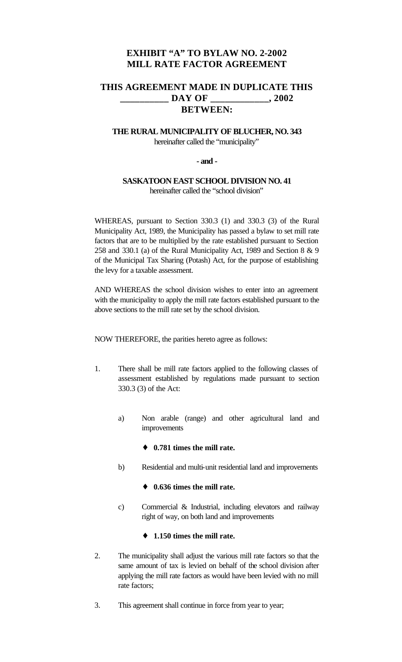# **EXHIBIT "A" TO BYLAW NO. 2-2002 MILL RATE FACTOR AGREEMENT**

# **THIS AGREEMENT MADE IN DUPLICATE THIS \_\_\_\_\_\_\_\_\_\_ DAY OF \_\_\_\_\_\_\_\_\_\_\_\_, 2002 BETWEEN:**

# **THE RURAL MUNICIPALITY OF BLUCHER, NO. 343** hereinafter called the "municipality"

## **- and -**

# **SASKATOON EAST SCHOOL DIVISION NO. 41** hereinafter called the "school division"

WHEREAS, pursuant to Section 330.3 (1) and 330.3 (3) of the Rural Municipality Act, 1989, the Municipality has passed a bylaw to set mill rate factors that are to be multiplied by the rate established pursuant to Section 258 and 330.1 (a) of the Rural Municipality Act, 1989 and Section 8 & 9 of the Municipal Tax Sharing (Potash) Act, for the purpose of establishing the levy for a taxable assessment.

AND WHEREAS the school division wishes to enter into an agreement with the municipality to apply the mill rate factors established pursuant to the above sections to the mill rate set by the school division.

NOW THEREFORE, the parities hereto agree as follows:

- 1. There shall be mill rate factors applied to the following classes of assessment established by regulations made pursuant to section 330.3 (3) of the Act:
	- a) Non arable (range) and other agricultural land and improvements
		- ♦ **0.781 times the mill rate.**
	- b) Residential and multi-unit residential land and improvements

### ♦ **0.636 times the mill rate.**

c) Commercial & Industrial, including elevators and railway right of way, on both land and improvements

# ♦ **1.150 times the mill rate.**

- 2. The municipality shall adjust the various mill rate factors so that the same amount of tax is levied on behalf of the school division after applying the mill rate factors as would have been levied with no mill rate factors;
- 3. This agreement shall continue in force from year to year;